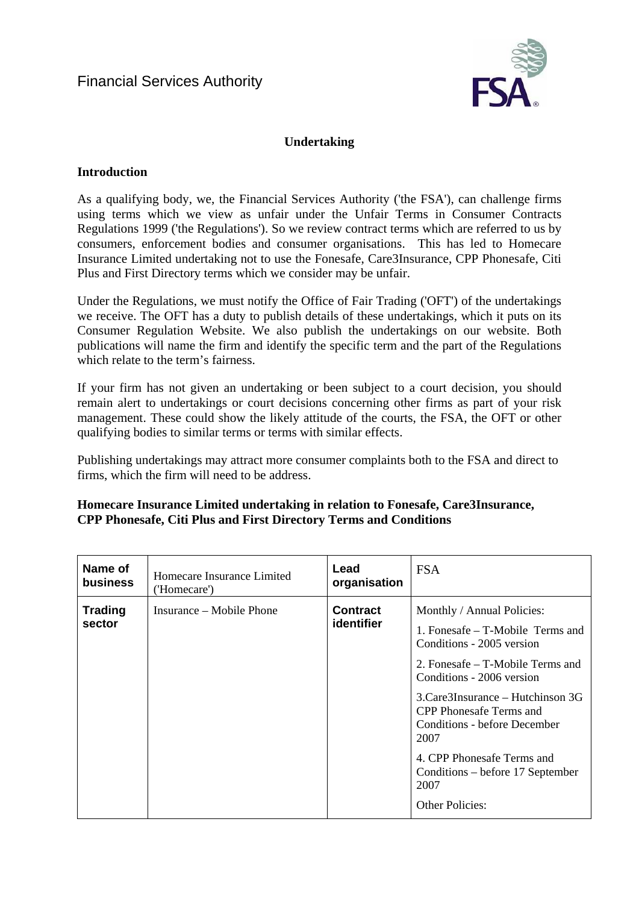

# **Undertaking**

## **Introduction**

As a qualifying body, we, the Financial Services Authority ('the FSA'), can challenge firms using terms which we view as unfair under the Unfair Terms in Consumer Contracts Regulations 1999 ('the Regulations'). So we review contract terms which are referred to us by consumers, enforcement bodies and consumer organisations. This has led to Homecare Insurance Limited undertaking not to use the Fonesafe, Care3Insurance, CPP Phonesafe, Citi Plus and First Directory terms which we consider may be unfair.

Under the Regulations, we must notify the Office of Fair Trading ('OFT') of the undertakings we receive. The OFT has a duty to publish details of these undertakings, which it puts on its Consumer Regulation Website. We also publish the undertakings on our website. Both publications will name the firm and identify the specific term and the part of the Regulations which relate to the term's fairness.

If your firm has not given an undertaking or been subject to a court decision, you should remain alert to undertakings or court decisions concerning other firms as part of your risk management. These could show the likely attitude of the courts, the [FSA](http://fsahandbook.info/FSA/glossary-html/handbook/Glossary/F?definition=G447), the OFT or other qualifying bodies to similar terms or terms with similar effects.

Publishing undertakings may attract more consumer complaints both to the FSA and direct to firms, which the firm will need to be address.

## **Homecare Insurance Limited undertaking in relation to Fonesafe, Care3Insurance, CPP Phonesafe, Citi Plus and First Directory Terms and Conditions**

| Name of                  | Homecare Insurance Limited | Lead                          | <b>FSA</b>                                                                                                                                                                                                                                                                                                                                                               |
|--------------------------|----------------------------|-------------------------------|--------------------------------------------------------------------------------------------------------------------------------------------------------------------------------------------------------------------------------------------------------------------------------------------------------------------------------------------------------------------------|
| <b>business</b>          | ('Homecare')               | organisation                  |                                                                                                                                                                                                                                                                                                                                                                          |
| <b>Trading</b><br>sector | Insurance – Mobile Phone   | <b>Contract</b><br>identifier | Monthly / Annual Policies:<br>1. Fonesafe – T-Mobile Terms and<br>Conditions - 2005 version<br>2. Fonesafe – T-Mobile Terms and<br>Conditions - 2006 version<br>3. Care3Insurance – Hutchinson 3G<br>CPP Phonesafe Terms and<br>Conditions - before December<br>2007<br>4. CPP Phonesafe Terms and<br>Conditions – before 17 September<br>2007<br><b>Other Policies:</b> |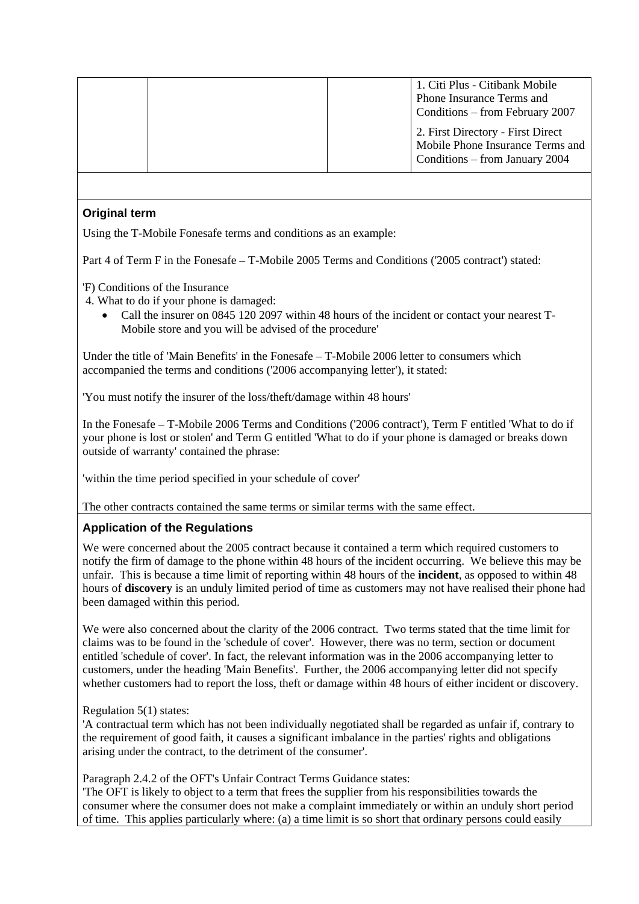|  | 1. Citi Plus - Citibank Mobile<br>Phone Insurance Terms and<br>Conditions – from February 2007          |
|--|---------------------------------------------------------------------------------------------------------|
|  | 2. First Directory - First Direct<br>Mobile Phone Insurance Terms and<br>Conditions – from January 2004 |

### **Original term**

Using the T-Mobile Fonesafe terms and conditions as an example:

Part 4 of Term F in the Fonesafe – T-Mobile 2005 Terms and Conditions ('2005 contract') stated:

- 'F) Conditions of the Insurance
- 4. What to do if your phone is damaged:
	- Call the insurer on 0845 120 2097 within 48 hours of the incident or contact your nearest T-Mobile store and you will be advised of the procedure'

Under the title of 'Main Benefits' in the Fonesafe – T-Mobile 2006 letter to consumers which accompanied the terms and conditions ('2006 accompanying letter'), it stated:

'You must notify the insurer of the loss/theft/damage within 48 hours'

In the Fonesafe – T-Mobile 2006 Terms and Conditions ('2006 contract'), Term F entitled 'What to do if your phone is lost or stolen' and Term G entitled 'What to do if your phone is damaged or breaks down outside of warranty' contained the phrase:

'within the time period specified in your schedule of cover'

The other contracts contained the same terms or similar terms with the same effect.

### **Application of the Regulations**

We were concerned about the 2005 contract because it contained a term which required customers to notify the firm of damage to the phone within 48 hours of the incident occurring. We believe this may be unfair. This is because a time limit of reporting within 48 hours of the **incident**, as opposed to within 48 hours of **discovery** is an unduly limited period of time as customers may not have realised their phone had been damaged within this period.

We were also concerned about the clarity of the 2006 contract. Two terms stated that the time limit for claims was to be found in the 'schedule of cover'. However, there was no term, section or document entitled 'schedule of cover'. In fact, the relevant information was in the 2006 accompanying letter to customers, under the heading 'Main Benefits'. Further, the 2006 accompanying letter did not specify whether customers had to report the loss, theft or damage within 48 hours of either incident or discovery.

### Regulation 5(1) states:

'A contractual term which has not been individually negotiated shall be regarded as unfair if, contrary to the requirement of good faith, it causes a significant imbalance in the parties' rights and obligations arising under the contract, to the detriment of the consumer'.

Paragraph 2.4.2 of the OFT's Unfair Contract Terms Guidance states:

'The OFT is likely to object to a term that frees the supplier from his responsibilities towards the consumer where the consumer does not make a complaint immediately or within an unduly short period of time. This applies particularly where: (a) a time limit is so short that ordinary persons could easily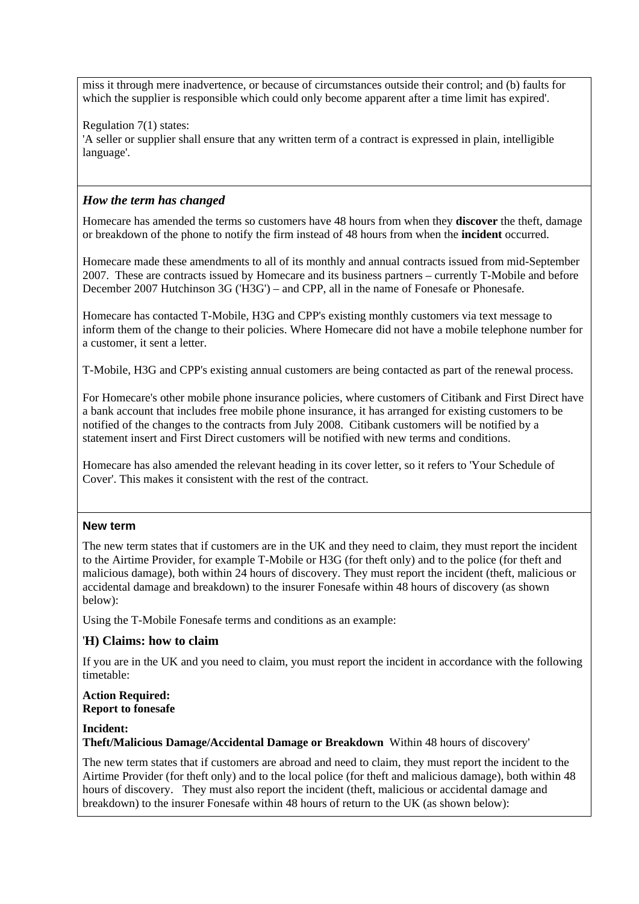miss it through mere inadvertence, or because of circumstances outside their control; and (b) faults for which the supplier is responsible which could only become apparent after a time limit has expired'.

Regulation 7(1) states:

'A seller or supplier shall ensure that any written term of a contract is expressed in plain, intelligible language'.

## *How the term has changed*

Homecare has amended the terms so customers have 48 hours from when they **discover** the theft, damage or breakdown of the phone to notify the firm instead of 48 hours from when the **incident** occurred.

Homecare made these amendments to all of its monthly and annual contracts issued from mid-September 2007. These are contracts issued by Homecare and its business partners – currently T-Mobile and before December 2007 Hutchinson 3G ('H3G') – and CPP, all in the name of Fonesafe or Phonesafe.

Homecare has contacted T-Mobile, H3G and CPP's existing monthly customers via text message to inform them of the change to their policies. Where Homecare did not have a mobile telephone number for a customer, it sent a letter.

T-Mobile, H3G and CPP's existing annual customers are being contacted as part of the renewal process.

For Homecare's other mobile phone insurance policies, where customers of Citibank and First Direct have a bank account that includes free mobile phone insurance, it has arranged for existing customers to be notified of the changes to the contracts from July 2008. Citibank customers will be notified by a statement insert and First Direct customers will be notified with new terms and conditions.

Homecare has also amended the relevant heading in its cover letter, so it refers to 'Your Schedule of Cover'. This makes it consistent with the rest of the contract.

### **New term**

The new term states that if customers are in the UK and they need to claim, they must report the incident to the Airtime Provider, for example T-Mobile or H3G (for theft only) and to the police (for theft and malicious damage), both within 24 hours of discovery. They must report the incident (theft, malicious or accidental damage and breakdown) to the insurer Fonesafe within 48 hours of discovery (as shown below):

Using the T-Mobile Fonesafe terms and conditions as an example:

### '**H) Claims: how to claim**

If you are in the UK and you need to claim, you must report the incident in accordance with the following timetable:

#### **Action Required: Report to fonesafe**

### **Incident:**

**Theft/Malicious Damage/Accidental Damage or Breakdown** Within 48 hours of discovery'

The new term states that if customers are abroad and need to claim, they must report the incident to the Airtime Provider (for theft only) and to the local police (for theft and malicious damage), both within 48 hours of discovery. They must also report the incident (theft, malicious or accidental damage and breakdown) to the insurer Fonesafe within 48 hours of return to the UK (as shown below):